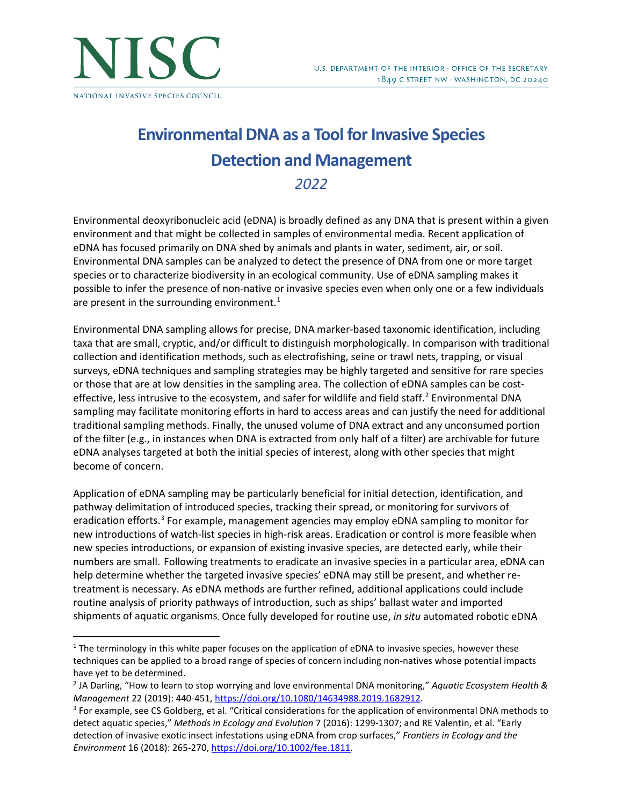

# **Environmental DNA as a Tool for Invasive Species Detection and Management** *2022*

Environmental deoxyribonucleic acid (eDNA) is broadly defined as any DNA that is present within a given environment and that might be collected in samples of environmental media. Recent application of eDNA has focused primarily on DNA shed by animals and plants in water, sediment, air, or soil. Environmental DNA samples can be analyzed to detect the presence of DNA from one or more target species or to characterize biodiversity in an ecological community. Use of eDNA sampling makes it possible to infer the presence of non-native or invasive species even when only one or a few individuals are present in the surrounding environment.<sup>[1](#page-0-0)</sup>

Environmental DNA sampling allows for precise, DNA marker-based taxonomic identification, including taxa that are small, cryptic, and/or difficult to distinguish morphologically. In comparison with traditional collection and identification methods, such as electrofishing, seine or trawl nets, trapping, or visual surveys, eDNA techniques and sampling strategies may be highly targeted and sensitive for rare species or those that are at low densities in the sampling area. The collection of eDNA samples can be cost-effective, less intrusive to the ecosystem, and safer for wildlife and field staff.<sup>[2](#page-0-1)</sup> Environmental DNA sampling may facilitate monitoring efforts in hard to access areas and can justify the need for additional traditional sampling methods. Finally, the unused volume of DNA extract and any unconsumed portion of the filter (e.g., in instances when DNA is extracted from only half of a filter) are archivable for future eDNA analyses targeted at both the initial species of interest, along with other species that might become of concern.

Application of eDNA sampling may be particularly beneficial for initial detection, identification, and pathway delimitation of introduced species, tracking their spread, or monitoring for survivors of eradication efforts.<sup>[3](#page-0-2)</sup> For example, management agencies may employ eDNA sampling to monitor for new introductions of watch-list species in high-risk areas. Eradication or control is more feasible when new species introductions, or expansion of existing invasive species, are detected early, while their numbers are small. Following treatments to eradicate an invasive species in a particular area, eDNA can help determine whether the targeted invasive species' eDNA may still be present, and whether retreatment is necessary. As eDNA methods are further refined, additional applications could include routine analysis of priority pathways of introduction, such as ships' ballast water and imported shipments of aquatic organisms. Once fully developed for routine use, *in situ* automated robotic eDNA

<span id="page-0-0"></span> $1$  The terminology in this white paper focuses on the application of eDNA to invasive species, however these techniques can be applied to a broad range of species of concern including non-natives whose potential impacts have yet to be determined.

<span id="page-0-1"></span><sup>2</sup> JA Darling, "How to learn to stop worrying and love environmental DNA monitoring," *Aquatic Ecosystem Health & Management* 22 (2019): 440-451, [https://doi.org/10.1080/14634988.2019.1682912.](https://doi.org/10.1080/14634988.2019.1682912)<br><sup>3</sup> For example, see CS Goldberg, et al. "Critical considerations for the application of environmental DNA methods to

<span id="page-0-2"></span>detect aquatic species," *Methods in Ecology and Evolution* 7 (2016): 1299-1307; and RE Valentin, et al. "Early detection of invasive exotic insect infestations using eDNA from crop surfaces," *Frontiers in Ecology and the Environment* 16 (2018): 265-270, [https://doi.org/10.1002/fee.1811.](https://doi.org/10.1002/fee.1811)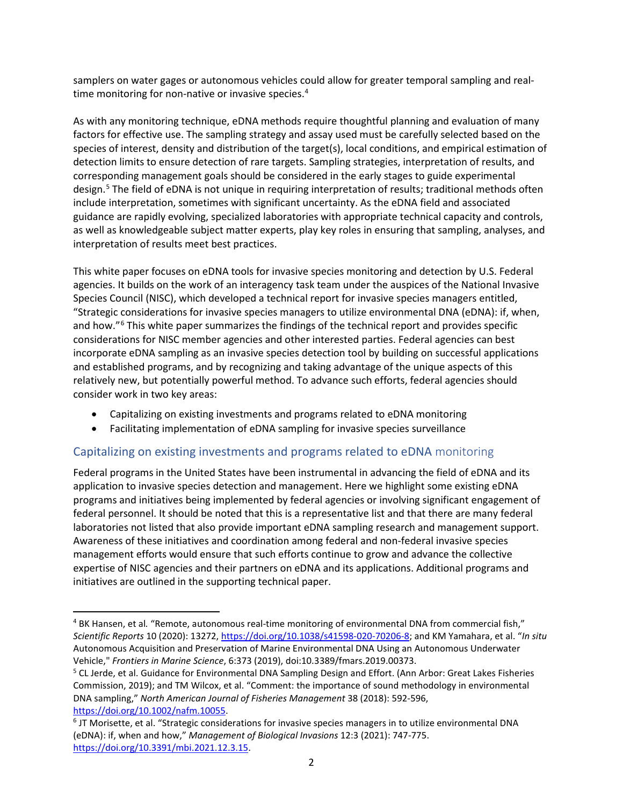samplers on water gages or autonomous vehicles could allow for greater temporal sampling and real-time monitoring for non-native or invasive species.<sup>[4](#page-1-0)</sup>

As with any monitoring technique, eDNA methods require thoughtful planning and evaluation of many factors for effective use. The sampling strategy and assay used must be carefully selected based on the species of interest, density and distribution of the target(s), local conditions, and empirical estimation of detection limits to ensure detection of rare targets. Sampling strategies, interpretation of results, and corresponding management goals should be considered in the early stages to guide experimental design.<sup>[5](#page-1-1)</sup> The field of eDNA is not unique in requiring interpretation of results; traditional methods often include interpretation, sometimes with significant uncertainty. As the eDNA field and associated guidance are rapidly evolving, specialized laboratories with appropriate technical capacity and controls, as well as knowledgeable subject matter experts, play key roles in ensuring that sampling, analyses, and interpretation of results meet best practices.

This white paper focuses on eDNA tools for invasive species monitoring and detection by U.S. Federal agencies. It builds on the work of an interagency task team under the auspices of the National Invasive Species Council (NISC), which developed a technical report for invasive species managers entitled, "Strategic considerations for invasive species managers to utilize environmental DNA (eDNA): if, when, and how."[6](#page-1-2) This white paper summarizes the findings of the technical report and provides specific considerations for NISC member agencies and other interested parties. Federal agencies can best incorporate eDNA sampling as an invasive species detection tool by building on successful applications and established programs, and by recognizing and taking advantage of the unique aspects of this relatively new, but potentially powerful method. To advance such efforts, federal agencies should consider work in two key areas:

- Capitalizing on existing investments and programs related to eDNA monitoring
- Facilitating implementation of eDNA sampling for invasive species surveillance

## Capitalizing on existing investments and programs related to eDNA monitoring

Federal programs in the United States have been instrumental in advancing the field of eDNA and its application to invasive species detection and management. Here we highlight some existing eDNA programs and initiatives being implemented by federal agencies or involving significant engagement of federal personnel. It should be noted that this is a representative list and that there are many federal laboratories not listed that also provide important eDNA sampling research and management support. Awareness of these initiatives and coordination among federal and non-federal invasive species management efforts would ensure that such efforts continue to grow and advance the collective expertise of NISC agencies and their partners on eDNA and its applications. Additional programs and initiatives are outlined in the supporting technical paper.

<span id="page-1-0"></span><sup>4</sup> BK Hansen, et al*.* "Remote, autonomous real-time monitoring of environmental DNA from commercial fish," *Scientific Reports* 10 (2020): 13272[, https://doi.org/10.1038/s41598-020-70206-8;](https://doi.org/10.1038/s41598-020-70206-8) and KM Yamahara, et al. "*In situ* Autonomous Acquisition and Preservation of Marine Environmental DNA Using an Autonomous Underwater Vehicle," *Frontiers in Marine Science*, 6:373 (2019), doi:10.3389/fmars.2019.00373.<br><sup>5</sup> CL Jerde, et al. Guidance for Environmental DNA Sampling Design and Effort. (Ann Arbor: Great Lakes Fisheries

<span id="page-1-1"></span>Commission, 2019); and TM Wilcox, et al. "Comment: the importance of sound methodology in environmental DNA sampling," *North American Journal of Fisheries Management* 38 (2018): 592-596,

<span id="page-1-2"></span>[https://doi.org/10.1002/nafm.10055.](https://doi.org/10.1002/nafm.10055)<br><sup>6</sup> JT Morisette, et al. "Strategic considerations for invasive species managers in to utilize environmental DNA (eDNA): if, when and how," *Management of Biological Invasions* 12:3 (2021): 747-775. [https://doi.org/10.3391/mbi.2021.12.3.15.](https://doi.org/10.3391/mbi.2021.12.3.15)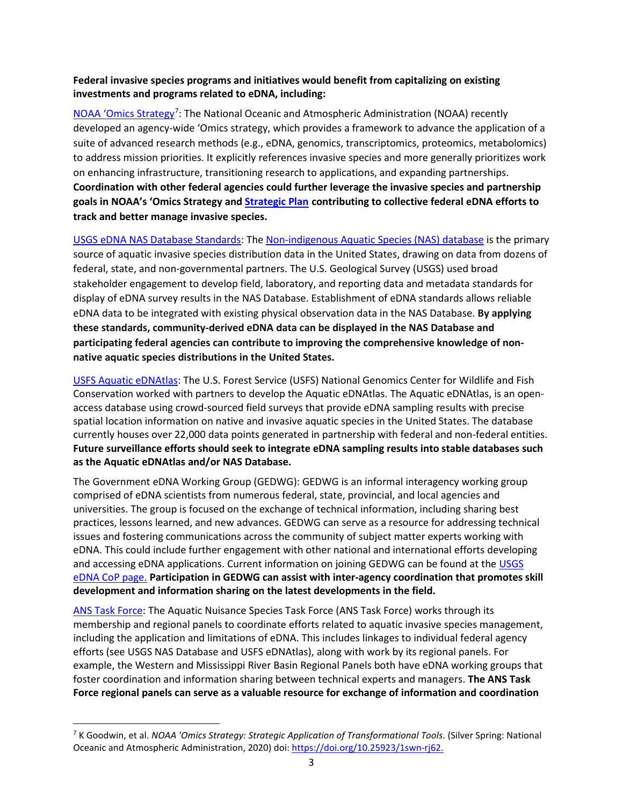### **Federal invasive species programs and initiatives would benefit from capitalizing on existing investments and programs related to eDNA, including:**

[NOAA 'Omics Strategy](https://sciencecouncil.noaa.gov/Portals/0/2020%20Omics%20Strategy.pdf?ver=2020-09-17-150026-760)<sup>[7](#page-2-0)</sup>: The National Oceanic and Atmospheric Administration (NOAA) recently developed an agency-wide 'Omics strategy, which provides a framework to advance the application of a suite of advanced research methods (e.g., eDNA, genomics, transcriptomics, proteomics, metabolomics) to address mission priorities. It explicitly references invasive species and more generally prioritizes work on enhancing infrastructure, transitioning research to applications, and expanding partnerships. **Coordination with other federal agencies could further leverage the invasive species and partnership goals in NOAA's 'Omics Strategy and [Strategic Plan](https://sciencecouncil.noaa.gov/Portals/0/Omics%20Strategic%20Plan_Final%20Signed.pdf?ver=2021-01-19-112404-443) contributing to collective federal eDNA efforts to track and better manage invasive species.** 

[USGS eDNA NAS Database Standards:](https://nas.er.usgs.gov/eDNA/) Th[e Non-indigenous Aquatic Species \(NAS\) database](http://nas.er.usgs.gov/) is the primary source of aquatic invasive species distribution data in the United States, drawing on data from dozens of federal, state, and non-governmental partners. The U.S. Geological Survey (USGS) used broad stakeholder engagement to develop field, laboratory, and reporting data and metadata standards for display of eDNA survey results in the NAS Database. Establishment of eDNA standards allows reliable eDNA data to be integrated with existing physical observation data in the NAS Database. **By applying these standards, community-derived eDNA data can be displayed in the NAS Database and participating federal agencies can contribute to improving the comprehensive knowledge of nonnative aquatic species distributions in the United States.** 

[USFS Aquatic eDNAtlas:](https://www.fs.fed.us/rm/boise/AWAE/projects/the-aquatic-eDNAtlas-project.html) The U.S. Forest Service (USFS) National Genomics Center for Wildlife and Fish Conservation worked with partners to develop the Aquatic eDNAtlas. The Aquatic eDNAtlas, is an openaccess database using crowd-sourced field surveys that provide eDNA sampling results with precise spatial location information on native and invasive aquatic species in the United States. The database currently houses over 22,000 data points generated in partnership with federal and non-federal entities. **Future surveillance efforts should seek to integrate eDNA sampling results into stable databases such as the Aquatic eDNAtlas and/or NAS Database.**

The Government eDNA Working Group (GEDWG): GEDWG is an informal interagency working group comprised of eDNA scientists from numerous federal, state, provincial, and local agencies and universities. The group is focused on the exchange of technical information, including sharing best practices, lessons learned, and new advances. GEDWG can serve as a resource for addressing technical issues and fostering communications across the community of subject matter experts working with eDNA. This could include further engagement with other national and international efforts developing and accessing eDNA applications. Current information on joining GEDWG can be found at th[e USGS](https://doimspp.sharepoint.com/sites/usgs-CDI-eDNA-Community-of-Practice)  [eDNA CoP page.](https://doimspp.sharepoint.com/sites/usgs-CDI-eDNA-Community-of-Practice) **Participation in GEDWG can assist with inter-agency coordination that promotes skill development and information sharing on the latest developments in the field.**

ANS [Task Force:](https://www.fws.gov/program/aquatic-nuisance-species-task-force) The Aquatic Nuisance Species Task Force (ANS Task Force) works through its membership and regional panels to coordinate efforts related to aquatic invasive species management, including the application and limitations of eDNA. This includes linkages to individual federal agency efforts (see USGS NAS Database and USFS eDNAtlas), along with work by its regional panels. For example, the Western and Mississippi River Basin Regional Panels both have eDNA working groups that foster coordination and information sharing between technical experts and managers. **The ANS Task Force regional panels can serve as a valuable resource for exchange of information and coordination** 

<span id="page-2-0"></span><sup>7</sup> K Goodwin, et al. *NOAA 'Omics Strategy: Strategic Application of Transformational Tools*. (Silver Spring: National Oceanic and Atmospheric Administration, 2020) doi: [https://doi.org/10.25923/1swn-rj62.](https://doi.org/10.25923/1swn-rj62)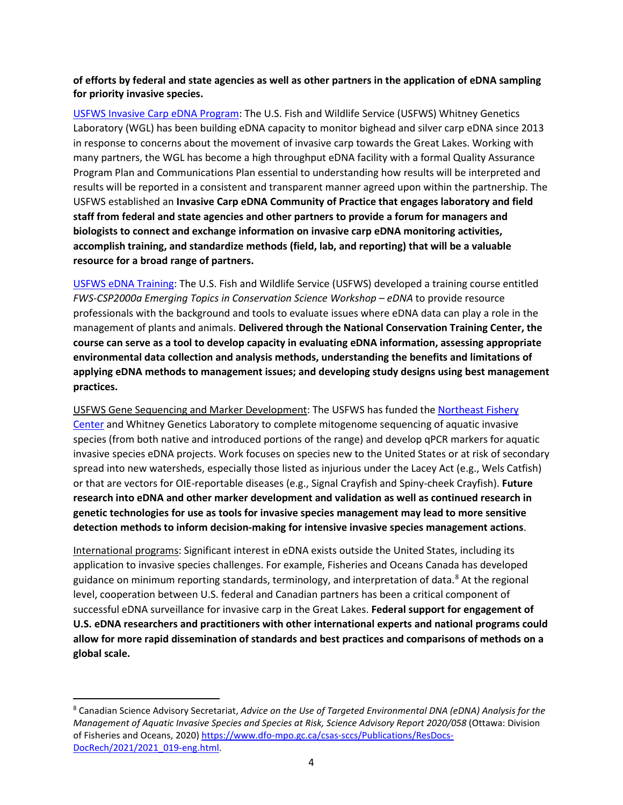### **of efforts by federal and state agencies as well as other partners in the application of eDNA sampling for priority invasive species.**

[USFWS Invasive Carp eDNA Program:](http://invasivecarp.us/eDNA.html) The U.S. Fish and Wildlife Service (USFWS) Whitney Genetics Laboratory (WGL) has been building eDNA capacity to monitor bighead and silver carp eDNA since 2013 in response to concerns about the movement of invasive carp towards the Great Lakes. Working with many partners, the WGL has become a high throughput eDNA facility with a formal Quality Assurance Program Plan and Communications Plan essential to understanding how results will be interpreted and results will be reported in a consistent and transparent manner agreed upon within the partnership. The USFWS established an **Invasive Carp eDNA Community of Practice that engages laboratory and field staff from federal and state agencies and other partners to provide a forum for managers and biologists to connect and exchange information on invasive carp eDNA monitoring activities, accomplish training, and standardize methods (field, lab, and reporting) that will be a valuable resource for a broad range of partners.**

[USFWS eDNA Training:](https://www.fws.gov/training) The U.S. Fish and Wildlife Service (USFWS) developed a training course entitled *FWS-CSP2000a Emerging Topics in Conservation Science Workshop – eDNA* to provide resource professionals with the background and tools to evaluate issues where eDNA data can play a role in the management of plants and animals. **Delivered through the National Conservation Training Center, the course can serve as a tool to develop capacity in evaluating eDNA information, assessing appropriate environmental data collection and analysis methods, understanding the benefits and limitations of applying eDNA methods to management issues; and developing study designs using best management practices.**

USFWS Gene Sequencing and Marker Development: The USFWS has funded th[e Northeast Fishery](https://www.fws.gov/office/northeast-fishery-center)  [Center](https://www.fws.gov/office/northeast-fishery-center) and [Whitney Genetics Labo](https://www.fws.gov/midwest/WGL/)ratory to complete mitogenome sequencing of aquatic invasive species (from both native and introduced portions of the range) and develop qPCR markers for aquatic invasive species eDNA projects. Work focuses on species new to the United States or at risk of secondary spread into new watersheds, especially those listed as injurious under the Lacey Act (e.g., Wels Catfish) or that are vectors for OIE-reportable diseases (e.g., Signal Crayfish and Spiny-cheek Crayfish). **Future research into eDNA and other marker development and validation as well as continued research in genetic technologies for use as tools for invasive species management may lead to more sensitive detection methods to inform decision-making for intensive invasive species management actions**.

International programs: Significant interest in eDNA exists outside the United States, including its application to invasive species challenges. For example, Fisheries and Oceans Canada has developed guidance on minimum reporting standards, terminology, and interpretation of data.<sup>[8](#page-3-0)</sup> At the regional level, cooperation between U.S. federal and Canadian partners has been a critical component of successful eDNA surveillance for invasive carp in the Great Lakes. **Federal support for engagement of U.S. eDNA researchers and practitioners with other international experts and national programs could allow for more rapid dissemination of standards and best practices and comparisons of methods on a global scale.**

<span id="page-3-0"></span><sup>8</sup> Canadian Science Advisory Secretariat, *Advice on the Use of Targeted Environmental DNA (eDNA) Analysis for the Management of Aquatic Invasive Species and Species at Risk, Science Advisory Report 2020/058* (Ottawa: Division of Fisheries and Oceans, 2020) [https://www.dfo-mpo.gc.ca/csas-sccs/Publications/ResDocs-](https://www.dfo-mpo.gc.ca/csas-sccs/Publications/ResDocs-DocRech/2021/2021_019-eng.html)[DocRech/2021/2021\\_019-eng.html.](https://www.dfo-mpo.gc.ca/csas-sccs/Publications/ResDocs-DocRech/2021/2021_019-eng.html)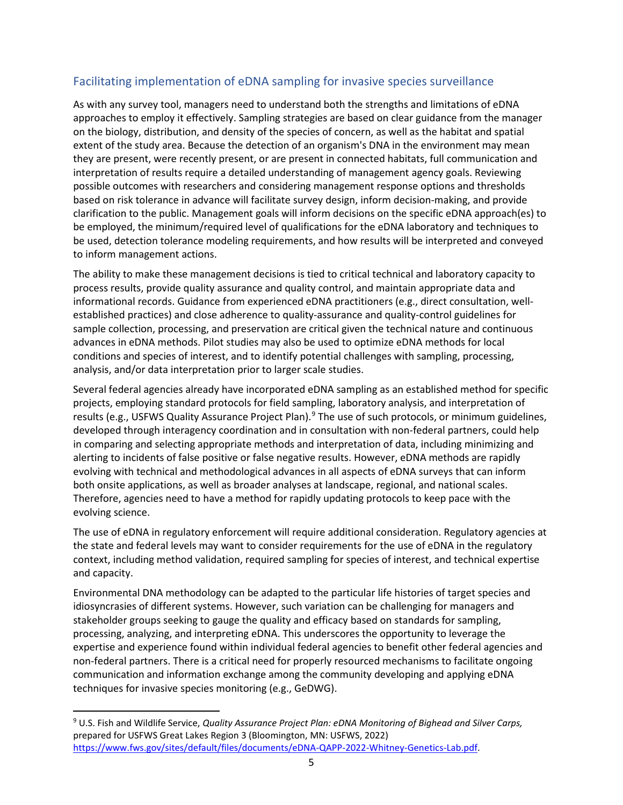# Facilitating implementation of eDNA sampling for invasive species surveillance

As with any survey tool, managers need to understand both the strengths and limitations of eDNA approaches to employ it effectively. Sampling strategies are based on clear guidance from the manager on the biology, distribution, and density of the species of concern, as well as the habitat and spatial extent of the study area. Because the detection of an organism's DNA in the environment may mean they are present, were recently present, or are present in connected habitats, full communication and interpretation of results require a detailed understanding of management agency goals. Reviewing possible outcomes with researchers and considering management response options and thresholds based on risk tolerance in advance will facilitate survey design, inform decision-making, and provide clarification to the public. Management goals will inform decisions on the specific eDNA approach(es) to be employed, the minimum/required level of qualifications for the eDNA laboratory and techniques to be used, detection tolerance modeling requirements, and how results will be interpreted and conveyed to inform management actions.

The ability to make these management decisions is tied to critical technical and laboratory capacity to process results, provide quality assurance and quality control, and maintain appropriate data and informational records. Guidance from experienced eDNA practitioners (e.g., direct consultation, wellestablished practices) and close adherence to quality-assurance and quality-control guidelines for sample collection, processing, and preservation are critical given the technical nature and continuous advances in eDNA methods. Pilot studies may also be used to optimize eDNA methods for local conditions and species of interest, and to identify potential challenges with sampling, processing, analysis, and/or data interpretation prior to larger scale studies.

Several federal agencies already have incorporated eDNA sampling as an established method for specific projects, employing standard protocols for field sampling, laboratory analysis, and interpretation of results (e.g., USFWS Quality Assurance Project Plan).<sup>[9](#page-4-0)</sup> The use of such protocols, or minimum guidelines, developed through interagency coordination and in consultation with non-federal partners, could help in comparing and selecting appropriate methods and interpretation of data, including minimizing and alerting to incidents of false positive or false negative results. However, eDNA methods are rapidly evolving with technical and methodological advances in all aspects of eDNA surveys that can inform both onsite applications, as well as broader analyses at landscape, regional, and national scales. Therefore, agencies need to have a method for rapidly updating protocols to keep pace with the evolving science.

The use of eDNA in regulatory enforcement will require additional consideration. Regulatory agencies at the state and federal levels may want to consider requirements for the use of eDNA in the regulatory context, including method validation, required sampling for species of interest, and technical expertise and capacity.

Environmental DNA methodology can be adapted to the particular life histories of target species and idiosyncrasies of different systems. However, such variation can be challenging for managers and stakeholder groups seeking to gauge the quality and efficacy based on standards for sampling, processing, analyzing, and interpreting eDNA. This underscores the opportunity to leverage the expertise and experience found within individual federal agencies to benefit other federal agencies and non-federal partners. There is a critical need for properly resourced mechanisms to facilitate ongoing communication and information exchange among the community developing and applying eDNA techniques for invasive species monitoring (e.g., GeDWG).

<span id="page-4-0"></span><sup>9</sup> U.S. Fish and Wildlife Service, *Quality Assurance Project Plan: eDNA Monitoring of Bighead and Silver Carps,*  prepared for USFWS Great Lakes Region 3 (Bloomington, MN: USFWS, 2022) [https://www.fws.gov/sites/default/files/documents/eDNA-QAPP-2022-Whitney-Genetics-Lab.pdf.](https://www.fws.gov/sites/default/files/documents/eDNA-QAPP-2022-Whitney-Genetics-Lab.pdf)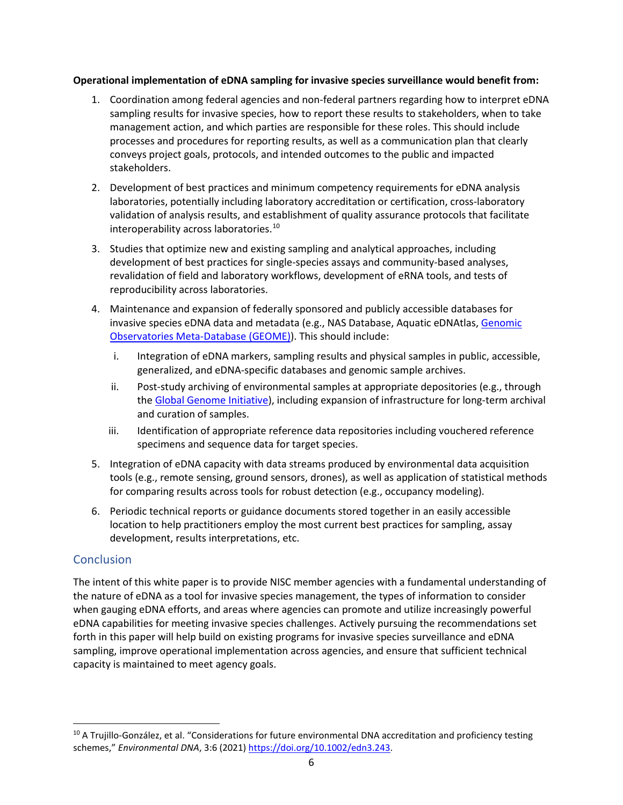#### **Operational implementation of eDNA sampling for invasive species surveillance would benefit from:**

- 1. Coordination among federal agencies and non-federal partners regarding how to interpret eDNA sampling results for invasive species, how to report these results to stakeholders, when to take management action, and which parties are responsible for these roles. This should include processes and procedures for reporting results, as well as a communication plan that clearly conveys project goals, protocols, and intended outcomes to the public and impacted stakeholders.
- 2. Development of best practices and minimum competency requirements for eDNA analysis laboratories, potentially including laboratory accreditation or certification, cross-laboratory validation of analysis results, and establishment of quality assurance protocols that facilitate interoperability across laboratories. [10](#page-5-0)
- 3. Studies that optimize new and existing sampling and analytical approaches, including development of best practices for single-species assays and community-based analyses, revalidation of field and laboratory workflows, development of eRNA tools, and tests of reproducibility across laboratories.
- 4. Maintenance and expansion of federally sponsored and publicly accessible databases for invasive species eDNA data and metadata (e.g., NAS Database, Aquatic eDNAtlas, [Genomic](https://geome-db.org/)  [Observatories Meta-Database \(GEOME\)\)](https://geome-db.org/). This should include:
	- i. Integration of eDNA markers, sampling results and physical samples in public, accessible, generalized, and eDNA-specific databases and genomic sample archives.
	- ii. Post-study archiving of environmental samples at appropriate depositories (e.g., through the [Global Genome Initiative\)](https://naturalhistory.si.edu/research/global-genome-initiative), including expansion of infrastructure for long-term archival and curation of samples.
	- iii. Identification of appropriate reference data repositories including vouchered reference specimens and sequence data for target species.
- 5. Integration of eDNA capacity with data streams produced by environmental data acquisition tools (e.g., remote sensing, ground sensors, drones), as well as application of statistical methods for comparing results across tools for robust detection (e.g., occupancy modeling).
- 6. Periodic technical reports or guidance documents stored together in an easily accessible location to help practitioners employ the most current best practices for sampling, assay development, results interpretations, etc.

## **Conclusion**

The intent of this white paper is to provide NISC member agencies with a fundamental understanding of the nature of eDNA as a tool for invasive species management, the types of information to consider when gauging eDNA efforts, and areas where agencies can promote and utilize increasingly powerful eDNA capabilities for meeting invasive species challenges. Actively pursuing the recommendations set forth in this paper will help build on existing programs for invasive species surveillance and eDNA sampling, improve operational implementation across agencies, and ensure that sufficient technical capacity is maintained to meet agency goals.

<span id="page-5-0"></span><sup>&</sup>lt;sup>10</sup> A Truiillo-González, et al. "Considerations for future environmental DNA accreditation and proficiency testing schemes," *Environmental DNA*, 3:6 (2021) [https://doi.org/10.1002/edn3.243.](https://doi.org/10.1002/edn3.243)